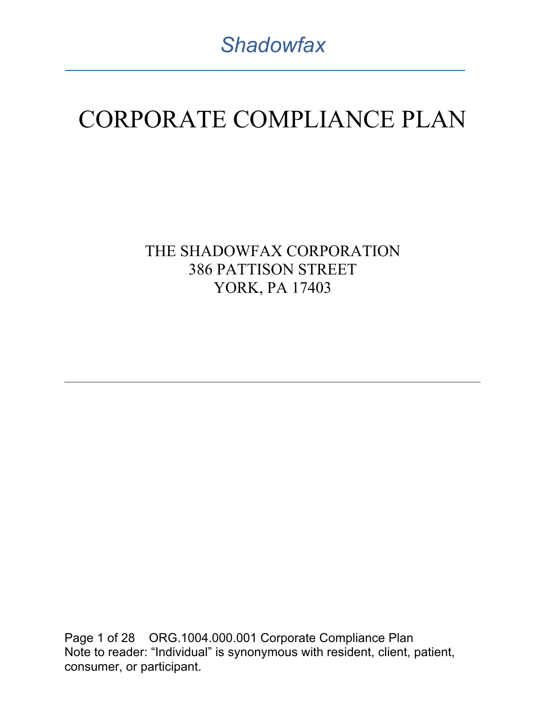# CORPORATE COMPLIANCE PLAN

THE SHADOWFAX CORPORATION 386 PATTISON STREET YORK, PA 17403

 $\mathcal{L}_\text{max} = \mathcal{L}_\text{max} = \mathcal{L}_\text{max} = \mathcal{L}_\text{max} = \mathcal{L}_\text{max} = \mathcal{L}_\text{max} = \mathcal{L}_\text{max} = \mathcal{L}_\text{max} = \mathcal{L}_\text{max} = \mathcal{L}_\text{max} = \mathcal{L}_\text{max} = \mathcal{L}_\text{max} = \mathcal{L}_\text{max} = \mathcal{L}_\text{max} = \mathcal{L}_\text{max} = \mathcal{L}_\text{max} = \mathcal{L}_\text{max} = \mathcal{L}_\text{max} = \mathcal{$ 

Page 1 of 28 ORG.1004.000.001 Corporate Compliance Plan Note to reader: "Individual" is synonymous with resident, client, patient, consumer, or participant.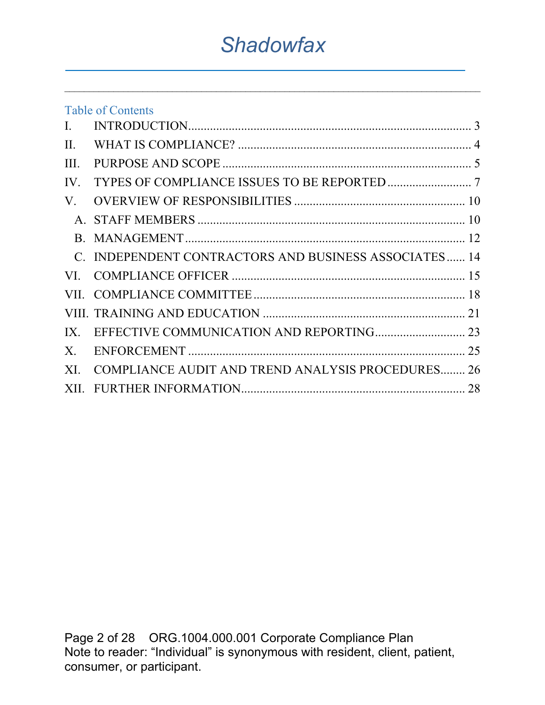$\mathcal{L}_\text{max} = \mathcal{L}_\text{max} = \mathcal{L}_\text{max} = \mathcal{L}_\text{max} = \mathcal{L}_\text{max} = \mathcal{L}_\text{max} = \mathcal{L}_\text{max} = \mathcal{L}_\text{max} = \mathcal{L}_\text{max} = \mathcal{L}_\text{max} = \mathcal{L}_\text{max} = \mathcal{L}_\text{max} = \mathcal{L}_\text{max} = \mathcal{L}_\text{max} = \mathcal{L}_\text{max} = \mathcal{L}_\text{max} = \mathcal{L}_\text{max} = \mathcal{L}_\text{max} = \mathcal{$ 

| C. INDEPENDENT CONTRACTORS AND BUSINESS ASSOCIATES 14 |
|-------------------------------------------------------|
|                                                       |
|                                                       |
|                                                       |
|                                                       |
|                                                       |
| XI. COMPLIANCE AUDIT AND TREND ANALYSIS PROCEDURES 26 |
|                                                       |
|                                                       |

Page 2 of 28 ORG.1004.000.001 Corporate Compliance Plan Note to reader: "Individual" is synonymous with resident, client, patient, consumer, or participant.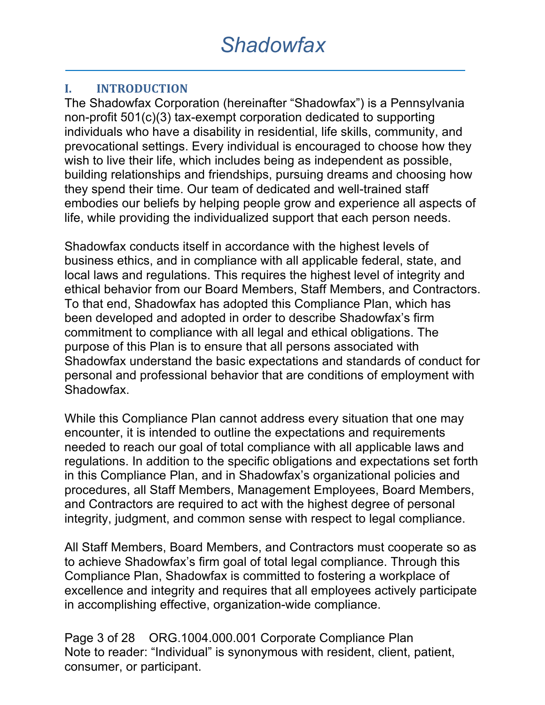#### **I. INTRODUCTION**

The Shadowfax Corporation (hereinafter "Shadowfax") is a Pennsylvania non-profit 501(c)(3) tax-exempt corporation dedicated to supporting individuals who have a disability in residential, life skills, community, and prevocational settings. Every individual is encouraged to choose how they wish to live their life, which includes being as independent as possible, building relationships and friendships, pursuing dreams and choosing how they spend their time. Our team of dedicated and well-trained staff embodies our beliefs by helping people grow and experience all aspects of life, while providing the individualized support that each person needs.

Shadowfax conducts itself in accordance with the highest levels of business ethics, and in compliance with all applicable federal, state, and local laws and regulations. This requires the highest level of integrity and ethical behavior from our Board Members, Staff Members, and Contractors. To that end, Shadowfax has adopted this Compliance Plan, which has been developed and adopted in order to describe Shadowfax's firm commitment to compliance with all legal and ethical obligations. The purpose of this Plan is to ensure that all persons associated with Shadowfax understand the basic expectations and standards of conduct for personal and professional behavior that are conditions of employment with Shadowfax.

While this Compliance Plan cannot address every situation that one may encounter, it is intended to outline the expectations and requirements needed to reach our goal of total compliance with all applicable laws and regulations. In addition to the specific obligations and expectations set forth in this Compliance Plan, and in Shadowfax's organizational policies and procedures, all Staff Members, Management Employees, Board Members, and Contractors are required to act with the highest degree of personal integrity, judgment, and common sense with respect to legal compliance.

All Staff Members, Board Members, and Contractors must cooperate so as to achieve Shadowfax's firm goal of total legal compliance. Through this Compliance Plan, Shadowfax is committed to fostering a workplace of excellence and integrity and requires that all employees actively participate in accomplishing effective, organization-wide compliance.

Page 3 of 28 ORG.1004.000.001 Corporate Compliance Plan Note to reader: "Individual" is synonymous with resident, client, patient, consumer, or participant.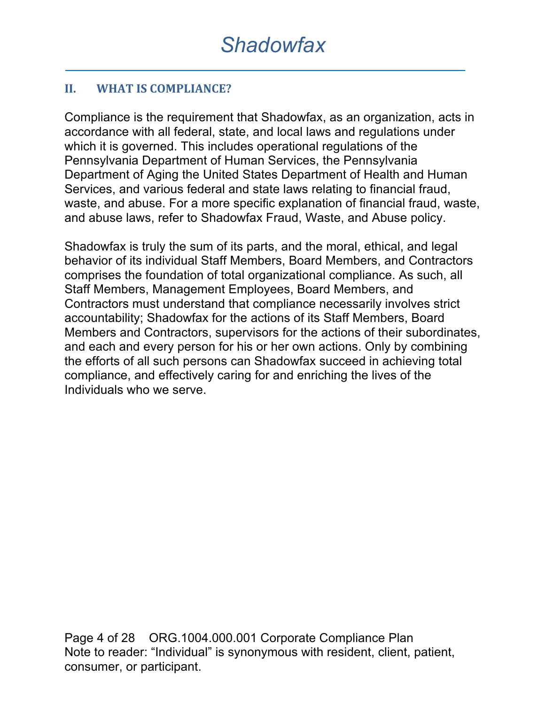#### **II. WHAT IS COMPLIANCE?**

Compliance is the requirement that Shadowfax, as an organization, acts in accordance with all federal, state, and local laws and regulations under which it is governed. This includes operational regulations of the Pennsylvania Department of Human Services, the Pennsylvania Department of Aging the United States Department of Health and Human Services, and various federal and state laws relating to financial fraud, waste, and abuse. For a more specific explanation of financial fraud, waste, and abuse laws, refer to Shadowfax Fraud, Waste, and Abuse policy.

Shadowfax is truly the sum of its parts, and the moral, ethical, and legal behavior of its individual Staff Members, Board Members, and Contractors comprises the foundation of total organizational compliance. As such, all Staff Members, Management Employees, Board Members, and Contractors must understand that compliance necessarily involves strict accountability; Shadowfax for the actions of its Staff Members, Board Members and Contractors, supervisors for the actions of their subordinates, and each and every person for his or her own actions. Only by combining the efforts of all such persons can Shadowfax succeed in achieving total compliance, and effectively caring for and enriching the lives of the Individuals who we serve.

Page 4 of 28 ORG.1004.000.001 Corporate Compliance Plan Note to reader: "Individual" is synonymous with resident, client, patient, consumer, or participant.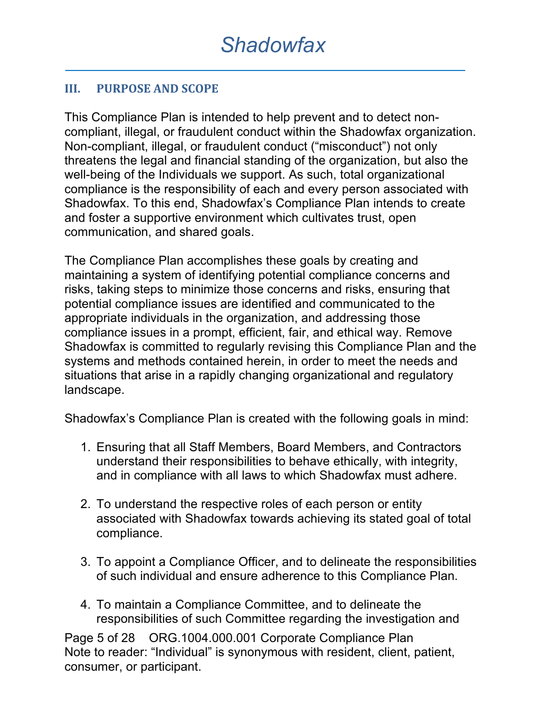#### **III.** PURPOSE AND SCOPE

This Compliance Plan is intended to help prevent and to detect noncompliant, illegal, or fraudulent conduct within the Shadowfax organization. Non-compliant, illegal, or fraudulent conduct ("misconduct") not only threatens the legal and financial standing of the organization, but also the well-being of the Individuals we support. As such, total organizational compliance is the responsibility of each and every person associated with Shadowfax. To this end, Shadowfax's Compliance Plan intends to create and foster a supportive environment which cultivates trust, open communication, and shared goals.

The Compliance Plan accomplishes these goals by creating and maintaining a system of identifying potential compliance concerns and risks, taking steps to minimize those concerns and risks, ensuring that potential compliance issues are identified and communicated to the appropriate individuals in the organization, and addressing those compliance issues in a prompt, efficient, fair, and ethical way. Remove Shadowfax is committed to regularly revising this Compliance Plan and the systems and methods contained herein, in order to meet the needs and situations that arise in a rapidly changing organizational and regulatory landscape.

Shadowfax's Compliance Plan is created with the following goals in mind:

- 1. Ensuring that all Staff Members, Board Members, and Contractors understand their responsibilities to behave ethically, with integrity, and in compliance with all laws to which Shadowfax must adhere.
- 2. To understand the respective roles of each person or entity associated with Shadowfax towards achieving its stated goal of total compliance.
- 3. To appoint a Compliance Officer, and to delineate the responsibilities of such individual and ensure adherence to this Compliance Plan.
- 4. To maintain a Compliance Committee, and to delineate the responsibilities of such Committee regarding the investigation and

Page 5 of 28 ORG.1004.000.001 Corporate Compliance Plan Note to reader: "Individual" is synonymous with resident, client, patient, consumer, or participant.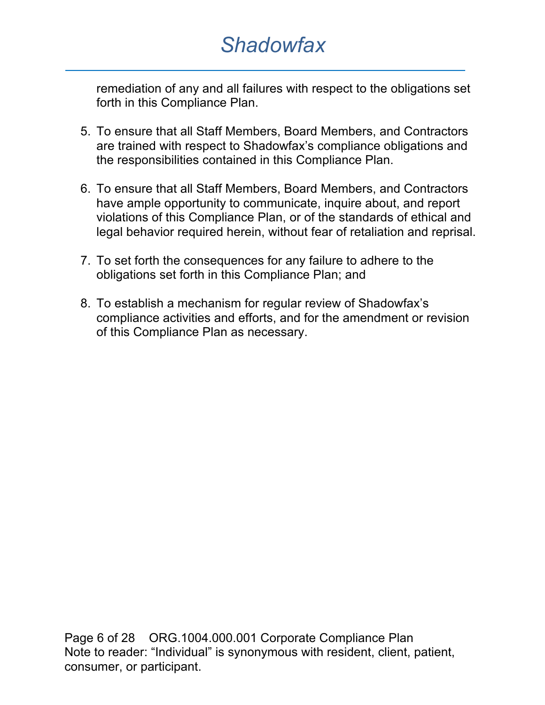remediation of any and all failures with respect to the obligations set forth in this Compliance Plan.

- 5. To ensure that all Staff Members, Board Members, and Contractors are trained with respect to Shadowfax's compliance obligations and the responsibilities contained in this Compliance Plan.
- 6. To ensure that all Staff Members, Board Members, and Contractors have ample opportunity to communicate, inquire about, and report violations of this Compliance Plan, or of the standards of ethical and legal behavior required herein, without fear of retaliation and reprisal.
- 7. To set forth the consequences for any failure to adhere to the obligations set forth in this Compliance Plan; and
- 8. To establish a mechanism for regular review of Shadowfax's compliance activities and efforts, and for the amendment or revision of this Compliance Plan as necessary.

Page 6 of 28 ORG.1004.000.001 Corporate Compliance Plan Note to reader: "Individual" is synonymous with resident, client, patient, consumer, or participant.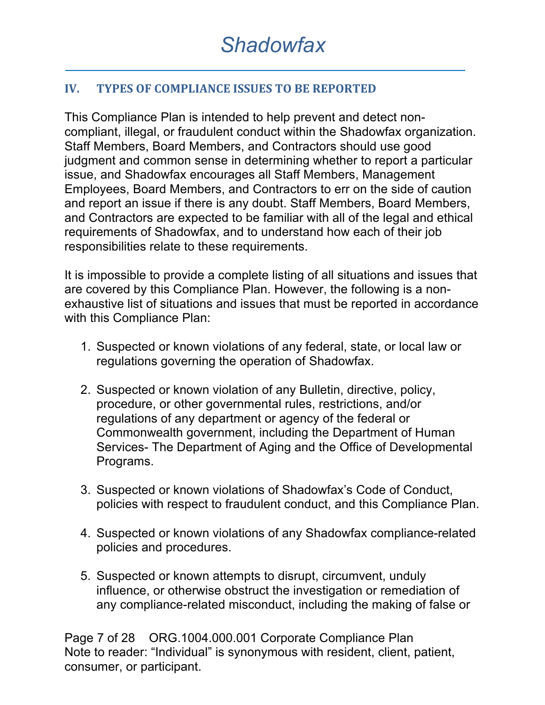#### **IV. TYPES OF COMPLIANCE ISSUES TO BE REPORTED**

This Compliance Plan is intended to help prevent and detect noncompliant, illegal, or fraudulent conduct within the Shadowfax organization. Staff Members, Board Members, and Contractors should use good judgment and common sense in determining whether to report a particular issue, and Shadowfax encourages all Staff Members, Management Employees, Board Members, and Contractors to err on the side of caution and report an issue if there is any doubt. Staff Members, Board Members, and Contractors are expected to be familiar with all of the legal and ethical requirements of Shadowfax, and to understand how each of their job responsibilities relate to these requirements.

It is impossible to provide a complete listing of all situations and issues that are covered by this Compliance Plan. However, the following is a nonexhaustive list of situations and issues that must be reported in accordance with this Compliance Plan:

- 1. Suspected or known violations of any federal, state, or local law or regulations governing the operation of Shadowfax.
- 2. Suspected or known violation of any Bulletin, directive, policy, procedure, or other governmental rules, restrictions, and/or regulations of any department or agency of the federal or Commonwealth government, including the Department of Human Services- The Department of Aging and the Office of Developmental Programs.
- 3. Suspected or known violations of Shadowfax's Code of Conduct, policies with respect to fraudulent conduct, and this Compliance Plan.
- 4. Suspected or known violations of any Shadowfax compliance-related policies and procedures.
- 5. Suspected or known attempts to disrupt, circumvent, unduly influence, or otherwise obstruct the investigation or remediation of any compliance-related misconduct, including the making of false or

Page 7 of 28 ORG.1004.000.001 Corporate Compliance Plan Note to reader: "Individual" is synonymous with resident, client, patient, consumer, or participant.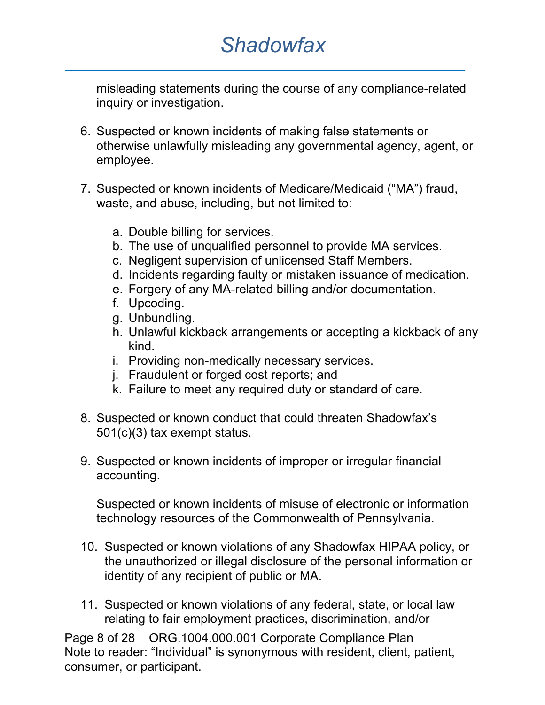misleading statements during the course of any compliance-related inquiry or investigation.

- 6. Suspected or known incidents of making false statements or otherwise unlawfully misleading any governmental agency, agent, or employee.
- 7. Suspected or known incidents of Medicare/Medicaid ("MA") fraud, waste, and abuse, including, but not limited to:
	- a. Double billing for services.
	- b. The use of unqualified personnel to provide MA services.
	- c. Negligent supervision of unlicensed Staff Members.
	- d. Incidents regarding faulty or mistaken issuance of medication.
	- e. Forgery of any MA-related billing and/or documentation.
	- f. Upcoding.
	- g. Unbundling.
	- h. Unlawful kickback arrangements or accepting a kickback of any kind.
	- i. Providing non-medically necessary services.
	- j. Fraudulent or forged cost reports; and
	- k. Failure to meet any required duty or standard of care.
- 8. Suspected or known conduct that could threaten Shadowfax's 501(c)(3) tax exempt status.
- 9. Suspected or known incidents of improper or irregular financial accounting.

Suspected or known incidents of misuse of electronic or information technology resources of the Commonwealth of Pennsylvania.

- 10. Suspected or known violations of any Shadowfax HIPAA policy, or the unauthorized or illegal disclosure of the personal information or identity of any recipient of public or MA.
- 11. Suspected or known violations of any federal, state, or local law relating to fair employment practices, discrimination, and/or

Page 8 of 28 ORG.1004.000.001 Corporate Compliance Plan Note to reader: "Individual" is synonymous with resident, client, patient, consumer, or participant.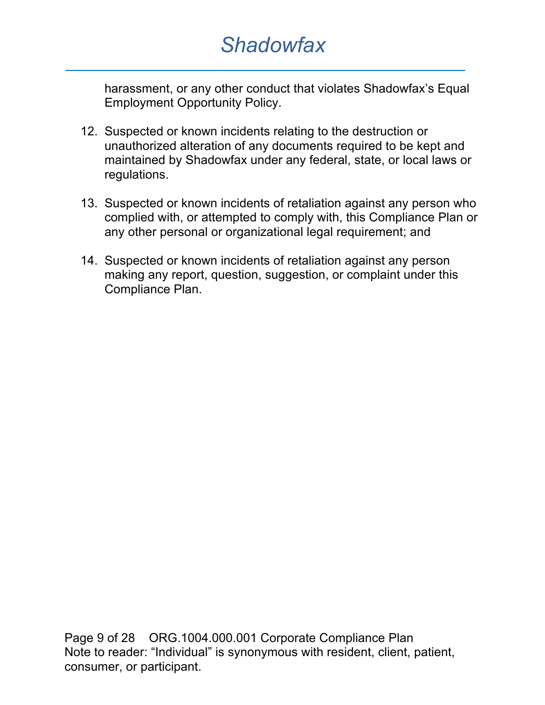harassment, or any other conduct that violates Shadowfax's Equal Employment Opportunity Policy.

- 12. Suspected or known incidents relating to the destruction or unauthorized alteration of any documents required to be kept and maintained by Shadowfax under any federal, state, or local laws or regulations.
- 13. Suspected or known incidents of retaliation against any person who complied with, or attempted to comply with, this Compliance Plan or any other personal or organizational legal requirement; and
- 14. Suspected or known incidents of retaliation against any person making any report, question, suggestion, or complaint under this Compliance Plan.

Page 9 of 28 ORG.1004.000.001 Corporate Compliance Plan Note to reader: "Individual" is synonymous with resident, client, patient, consumer, or participant.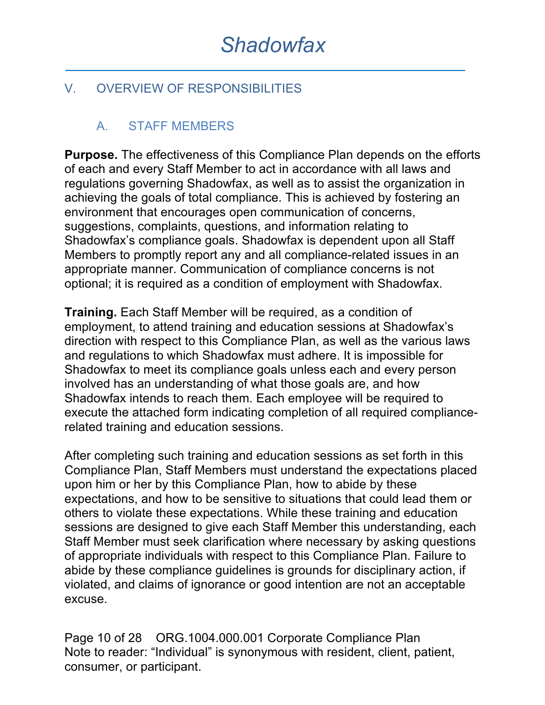### V. OVERVIEW OF RESPONSIBILITIES

### A. STAFF MEMBERS

**Purpose.** The effectiveness of this Compliance Plan depends on the efforts of each and every Staff Member to act in accordance with all laws and regulations governing Shadowfax, as well as to assist the organization in achieving the goals of total compliance. This is achieved by fostering an environment that encourages open communication of concerns, suggestions, complaints, questions, and information relating to Shadowfax's compliance goals. Shadowfax is dependent upon all Staff Members to promptly report any and all compliance-related issues in an appropriate manner. Communication of compliance concerns is not optional; it is required as a condition of employment with Shadowfax.

**Training.** Each Staff Member will be required, as a condition of employment, to attend training and education sessions at Shadowfax's direction with respect to this Compliance Plan, as well as the various laws and regulations to which Shadowfax must adhere. It is impossible for Shadowfax to meet its compliance goals unless each and every person involved has an understanding of what those goals are, and how Shadowfax intends to reach them. Each employee will be required to execute the attached form indicating completion of all required compliancerelated training and education sessions.

After completing such training and education sessions as set forth in this Compliance Plan, Staff Members must understand the expectations placed upon him or her by this Compliance Plan, how to abide by these expectations, and how to be sensitive to situations that could lead them or others to violate these expectations. While these training and education sessions are designed to give each Staff Member this understanding, each Staff Member must seek clarification where necessary by asking questions of appropriate individuals with respect to this Compliance Plan. Failure to abide by these compliance guidelines is grounds for disciplinary action, if violated, and claims of ignorance or good intention are not an acceptable excuse.

Page 10 of 28 ORG.1004.000.001 Corporate Compliance Plan Note to reader: "Individual" is synonymous with resident, client, patient, consumer, or participant.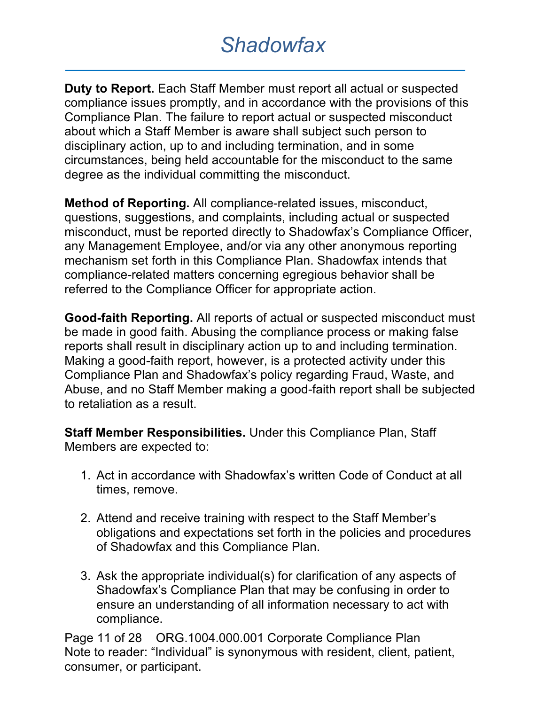**Duty to Report.** Each Staff Member must report all actual or suspected compliance issues promptly, and in accordance with the provisions of this Compliance Plan. The failure to report actual or suspected misconduct about which a Staff Member is aware shall subject such person to disciplinary action, up to and including termination, and in some circumstances, being held accountable for the misconduct to the same degree as the individual committing the misconduct.

**Method of Reporting.** All compliance-related issues, misconduct, questions, suggestions, and complaints, including actual or suspected misconduct, must be reported directly to Shadowfax's Compliance Officer, any Management Employee, and/or via any other anonymous reporting mechanism set forth in this Compliance Plan. Shadowfax intends that compliance-related matters concerning egregious behavior shall be referred to the Compliance Officer for appropriate action.

**Good-faith Reporting.** All reports of actual or suspected misconduct must be made in good faith. Abusing the compliance process or making false reports shall result in disciplinary action up to and including termination. Making a good-faith report, however, is a protected activity under this Compliance Plan and Shadowfax's policy regarding Fraud, Waste, and Abuse, and no Staff Member making a good-faith report shall be subjected to retaliation as a result.

**Staff Member Responsibilities.** Under this Compliance Plan, Staff Members are expected to:

- 1. Act in accordance with Shadowfax's written Code of Conduct at all times, remove.
- 2. Attend and receive training with respect to the Staff Member's obligations and expectations set forth in the policies and procedures of Shadowfax and this Compliance Plan.
- 3. Ask the appropriate individual(s) for clarification of any aspects of Shadowfax's Compliance Plan that may be confusing in order to ensure an understanding of all information necessary to act with compliance.

Page 11 of 28 ORG.1004.000.001 Corporate Compliance Plan Note to reader: "Individual" is synonymous with resident, client, patient, consumer, or participant.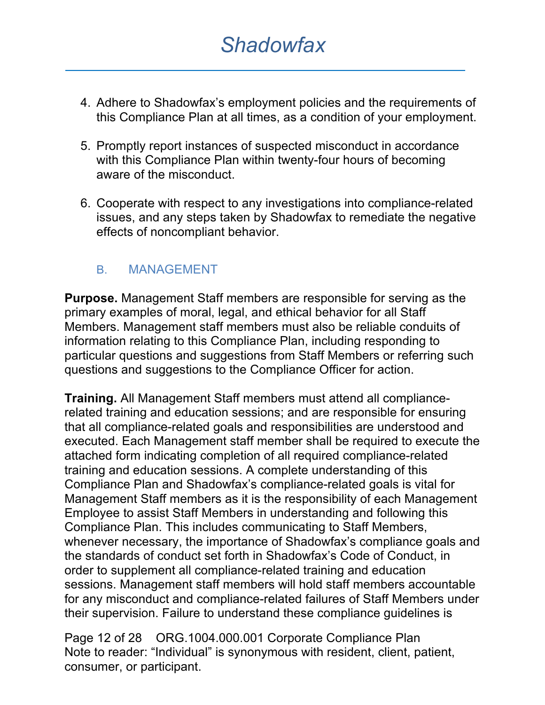- 4. Adhere to Shadowfax's employment policies and the requirements of this Compliance Plan at all times, as a condition of your employment.
- 5. Promptly report instances of suspected misconduct in accordance with this Compliance Plan within twenty-four hours of becoming aware of the misconduct.
- 6. Cooperate with respect to any investigations into compliance-related issues, and any steps taken by Shadowfax to remediate the negative effects of noncompliant behavior.

#### B. MANAGEMENT

**Purpose.** Management Staff members are responsible for serving as the primary examples of moral, legal, and ethical behavior for all Staff Members. Management staff members must also be reliable conduits of information relating to this Compliance Plan, including responding to particular questions and suggestions from Staff Members or referring such questions and suggestions to the Compliance Officer for action.

**Training.** All Management Staff members must attend all compliancerelated training and education sessions; and are responsible for ensuring that all compliance-related goals and responsibilities are understood and executed. Each Management staff member shall be required to execute the attached form indicating completion of all required compliance-related training and education sessions. A complete understanding of this Compliance Plan and Shadowfax's compliance-related goals is vital for Management Staff members as it is the responsibility of each Management Employee to assist Staff Members in understanding and following this Compliance Plan. This includes communicating to Staff Members, whenever necessary, the importance of Shadowfax's compliance goals and the standards of conduct set forth in Shadowfax's Code of Conduct, in order to supplement all compliance-related training and education sessions. Management staff members will hold staff members accountable for any misconduct and compliance-related failures of Staff Members under their supervision. Failure to understand these compliance guidelines is

Page 12 of 28 ORG.1004.000.001 Corporate Compliance Plan Note to reader: "Individual" is synonymous with resident, client, patient, consumer, or participant.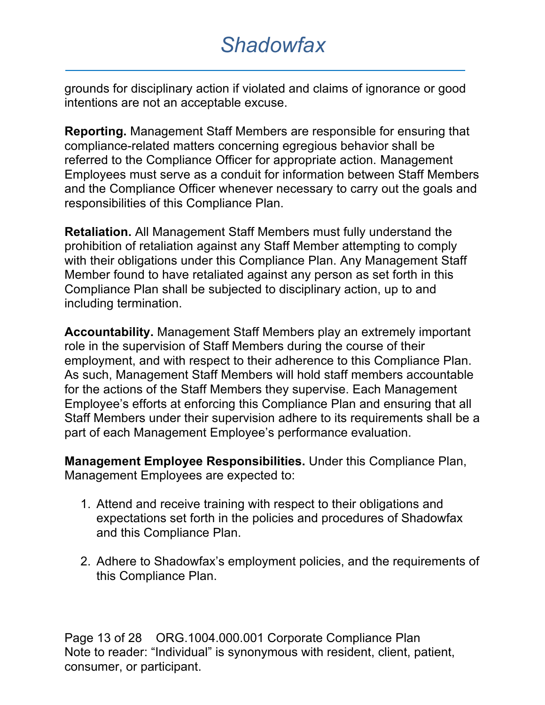grounds for disciplinary action if violated and claims of ignorance or good intentions are not an acceptable excuse.

**Reporting.** Management Staff Members are responsible for ensuring that compliance-related matters concerning egregious behavior shall be referred to the Compliance Officer for appropriate action. Management Employees must serve as a conduit for information between Staff Members and the Compliance Officer whenever necessary to carry out the goals and responsibilities of this Compliance Plan.

**Retaliation.** All Management Staff Members must fully understand the prohibition of retaliation against any Staff Member attempting to comply with their obligations under this Compliance Plan. Any Management Staff Member found to have retaliated against any person as set forth in this Compliance Plan shall be subjected to disciplinary action, up to and including termination.

**Accountability.** Management Staff Members play an extremely important role in the supervision of Staff Members during the course of their employment, and with respect to their adherence to this Compliance Plan. As such, Management Staff Members will hold staff members accountable for the actions of the Staff Members they supervise. Each Management Employee's efforts at enforcing this Compliance Plan and ensuring that all Staff Members under their supervision adhere to its requirements shall be a part of each Management Employee's performance evaluation.

**Management Employee Responsibilities.** Under this Compliance Plan, Management Employees are expected to:

- 1. Attend and receive training with respect to their obligations and expectations set forth in the policies and procedures of Shadowfax and this Compliance Plan.
- 2. Adhere to Shadowfax's employment policies, and the requirements of this Compliance Plan.

Page 13 of 28 ORG.1004.000.001 Corporate Compliance Plan Note to reader: "Individual" is synonymous with resident, client, patient, consumer, or participant.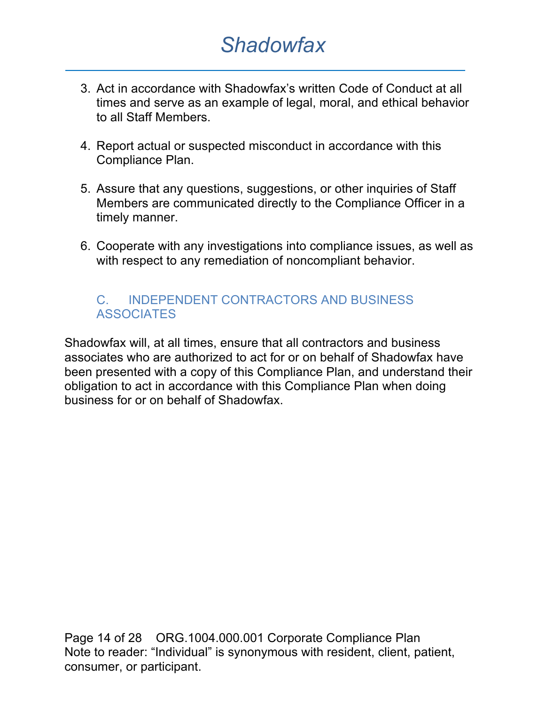- 3. Act in accordance with Shadowfax's written Code of Conduct at all times and serve as an example of legal, moral, and ethical behavior to all Staff Members.
- 4. Report actual or suspected misconduct in accordance with this Compliance Plan.
- 5. Assure that any questions, suggestions, or other inquiries of Staff Members are communicated directly to the Compliance Officer in a timely manner.
- 6. Cooperate with any investigations into compliance issues, as well as with respect to any remediation of noncompliant behavior.

#### C. INDEPENDENT CONTRACTORS AND BUSINESS **ASSOCIATES**

Shadowfax will, at all times, ensure that all contractors and business associates who are authorized to act for or on behalf of Shadowfax have been presented with a copy of this Compliance Plan, and understand their obligation to act in accordance with this Compliance Plan when doing business for or on behalf of Shadowfax.

Page 14 of 28 ORG.1004.000.001 Corporate Compliance Plan Note to reader: "Individual" is synonymous with resident, client, patient, consumer, or participant.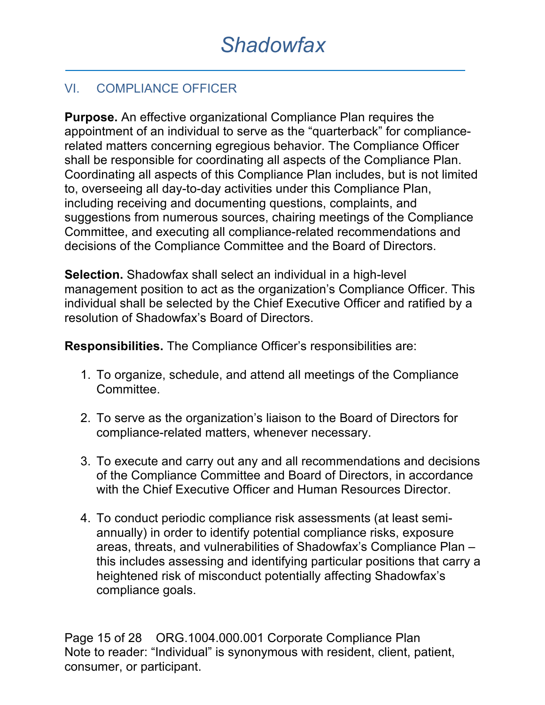### VI. COMPLIANCE OFFICER

**Purpose.** An effective organizational Compliance Plan requires the appointment of an individual to serve as the "quarterback" for compliancerelated matters concerning egregious behavior. The Compliance Officer shall be responsible for coordinating all aspects of the Compliance Plan. Coordinating all aspects of this Compliance Plan includes, but is not limited to, overseeing all day-to-day activities under this Compliance Plan, including receiving and documenting questions, complaints, and suggestions from numerous sources, chairing meetings of the Compliance Committee, and executing all compliance-related recommendations and decisions of the Compliance Committee and the Board of Directors.

**Selection.** Shadowfax shall select an individual in a high-level management position to act as the organization's Compliance Officer. This individual shall be selected by the Chief Executive Officer and ratified by a resolution of Shadowfax's Board of Directors.

**Responsibilities.** The Compliance Officer's responsibilities are:

- 1. To organize, schedule, and attend all meetings of the Compliance Committee.
- 2. To serve as the organization's liaison to the Board of Directors for compliance-related matters, whenever necessary.
- 3. To execute and carry out any and all recommendations and decisions of the Compliance Committee and Board of Directors, in accordance with the Chief Executive Officer and Human Resources Director.
- 4. To conduct periodic compliance risk assessments (at least semiannually) in order to identify potential compliance risks, exposure areas, threats, and vulnerabilities of Shadowfax's Compliance Plan – this includes assessing and identifying particular positions that carry a heightened risk of misconduct potentially affecting Shadowfax's compliance goals.

Page 15 of 28 ORG.1004.000.001 Corporate Compliance Plan Note to reader: "Individual" is synonymous with resident, client, patient, consumer, or participant.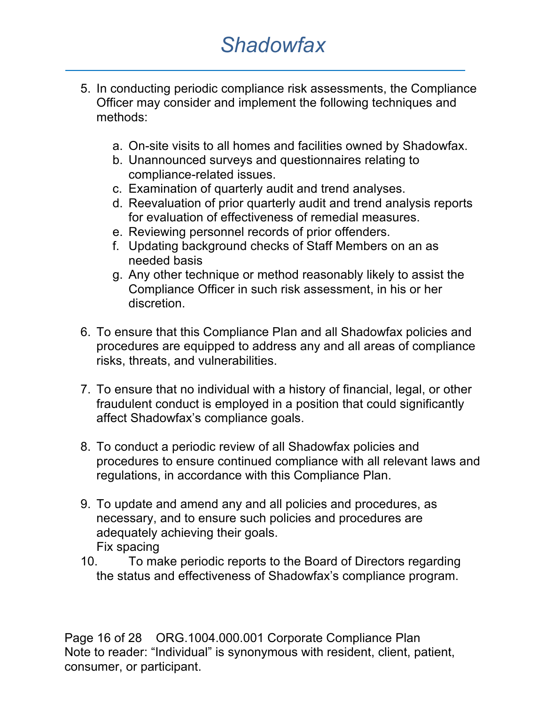- 5. In conducting periodic compliance risk assessments, the Compliance Officer may consider and implement the following techniques and methods:
	- a. On-site visits to all homes and facilities owned by Shadowfax.
	- b. Unannounced surveys and questionnaires relating to compliance-related issues.
	- c. Examination of quarterly audit and trend analyses.
	- d. Reevaluation of prior quarterly audit and trend analysis reports for evaluation of effectiveness of remedial measures.
	- e. Reviewing personnel records of prior offenders.
	- f. Updating background checks of Staff Members on an as needed basis
	- g. Any other technique or method reasonably likely to assist the Compliance Officer in such risk assessment, in his or her discretion.
- 6. To ensure that this Compliance Plan and all Shadowfax policies and procedures are equipped to address any and all areas of compliance risks, threats, and vulnerabilities.
- 7. To ensure that no individual with a history of financial, legal, or other fraudulent conduct is employed in a position that could significantly affect Shadowfax's compliance goals.
- 8. To conduct a periodic review of all Shadowfax policies and procedures to ensure continued compliance with all relevant laws and regulations, in accordance with this Compliance Plan.
- 9. To update and amend any and all policies and procedures, as necessary, and to ensure such policies and procedures are adequately achieving their goals. Fix spacing
- 10. To make periodic reports to the Board of Directors regarding the status and effectiveness of Shadowfax's compliance program.

Page 16 of 28 ORG.1004.000.001 Corporate Compliance Plan Note to reader: "Individual" is synonymous with resident, client, patient, consumer, or participant.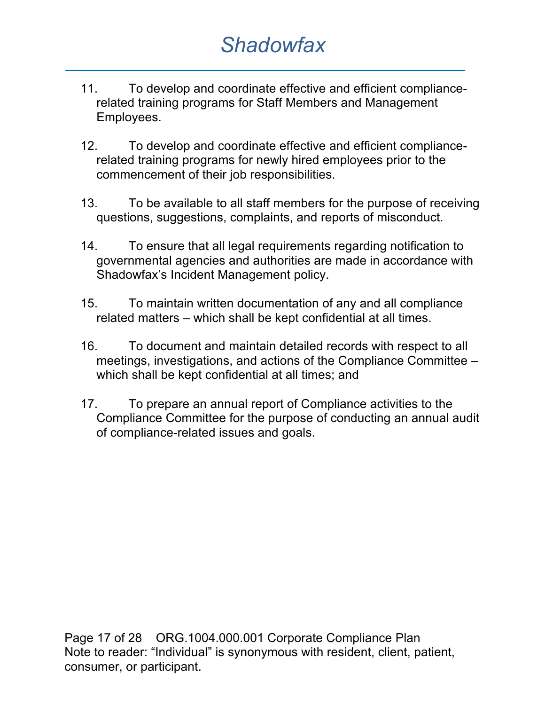- 11. To develop and coordinate effective and efficient compliancerelated training programs for Staff Members and Management Employees.
- 12. To develop and coordinate effective and efficient compliancerelated training programs for newly hired employees prior to the commencement of their job responsibilities.
- 13. To be available to all staff members for the purpose of receiving questions, suggestions, complaints, and reports of misconduct.
- 14. To ensure that all legal requirements regarding notification to governmental agencies and authorities are made in accordance with Shadowfax's Incident Management policy.
- 15. To maintain written documentation of any and all compliance related matters – which shall be kept confidential at all times.
- 16. To document and maintain detailed records with respect to all meetings, investigations, and actions of the Compliance Committee – which shall be kept confidential at all times; and
- 17. To prepare an annual report of Compliance activities to the Compliance Committee for the purpose of conducting an annual audit of compliance-related issues and goals.

Page 17 of 28 ORG.1004.000.001 Corporate Compliance Plan Note to reader: "Individual" is synonymous with resident, client, patient, consumer, or participant.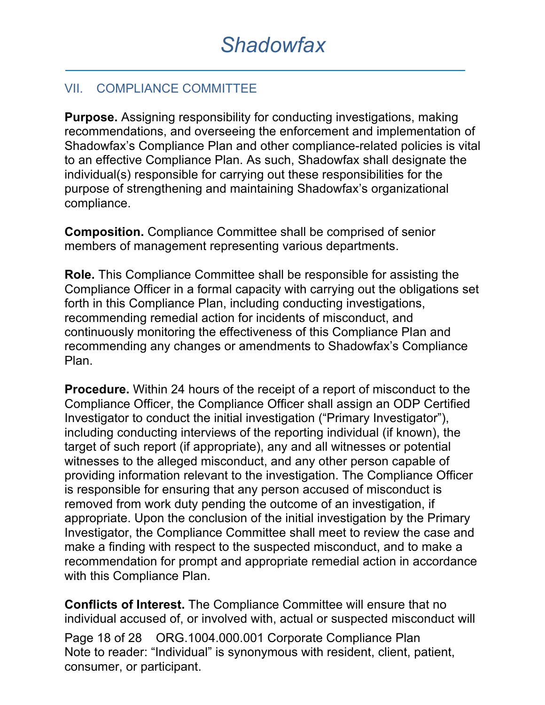### VII. COMPLIANCE COMMITTEE

**Purpose.** Assigning responsibility for conducting investigations, making recommendations, and overseeing the enforcement and implementation of Shadowfax's Compliance Plan and other compliance-related policies is vital to an effective Compliance Plan. As such, Shadowfax shall designate the individual(s) responsible for carrying out these responsibilities for the purpose of strengthening and maintaining Shadowfax's organizational compliance.

**Composition.** Compliance Committee shall be comprised of senior members of management representing various departments.

**Role.** This Compliance Committee shall be responsible for assisting the Compliance Officer in a formal capacity with carrying out the obligations set forth in this Compliance Plan, including conducting investigations, recommending remedial action for incidents of misconduct, and continuously monitoring the effectiveness of this Compliance Plan and recommending any changes or amendments to Shadowfax's Compliance Plan.

**Procedure.** Within 24 hours of the receipt of a report of misconduct to the Compliance Officer, the Compliance Officer shall assign an ODP Certified Investigator to conduct the initial investigation ("Primary Investigator"), including conducting interviews of the reporting individual (if known), the target of such report (if appropriate), any and all witnesses or potential witnesses to the alleged misconduct, and any other person capable of providing information relevant to the investigation. The Compliance Officer is responsible for ensuring that any person accused of misconduct is removed from work duty pending the outcome of an investigation, if appropriate. Upon the conclusion of the initial investigation by the Primary Investigator, the Compliance Committee shall meet to review the case and make a finding with respect to the suspected misconduct, and to make a recommendation for prompt and appropriate remedial action in accordance with this Compliance Plan.

**Conflicts of Interest.** The Compliance Committee will ensure that no individual accused of, or involved with, actual or suspected misconduct will

Page 18 of 28 ORG.1004.000.001 Corporate Compliance Plan Note to reader: "Individual" is synonymous with resident, client, patient, consumer, or participant.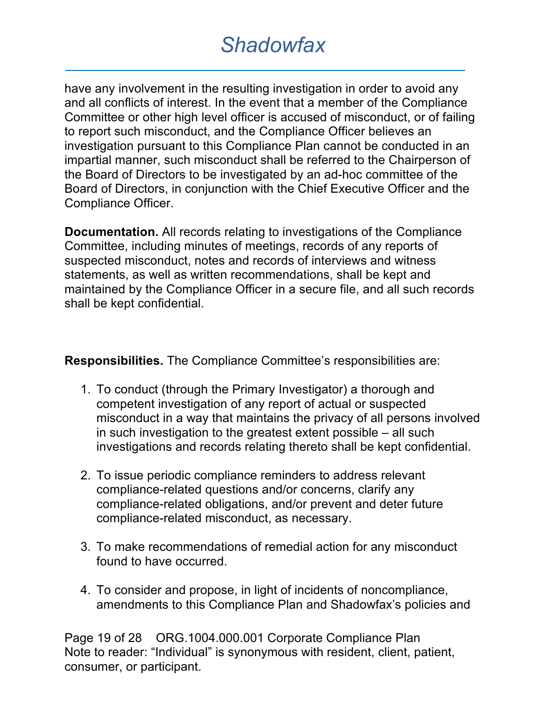have any involvement in the resulting investigation in order to avoid any and all conflicts of interest. In the event that a member of the Compliance Committee or other high level officer is accused of misconduct, or of failing to report such misconduct, and the Compliance Officer believes an investigation pursuant to this Compliance Plan cannot be conducted in an impartial manner, such misconduct shall be referred to the Chairperson of the Board of Directors to be investigated by an ad-hoc committee of the Board of Directors, in conjunction with the Chief Executive Officer and the Compliance Officer.

**Documentation.** All records relating to investigations of the Compliance Committee, including minutes of meetings, records of any reports of suspected misconduct, notes and records of interviews and witness statements, as well as written recommendations, shall be kept and maintained by the Compliance Officer in a secure file, and all such records shall be kept confidential.

**Responsibilities.** The Compliance Committee's responsibilities are:

- 1. To conduct (through the Primary Investigator) a thorough and competent investigation of any report of actual or suspected misconduct in a way that maintains the privacy of all persons involved in such investigation to the greatest extent possible – all such investigations and records relating thereto shall be kept confidential.
- 2. To issue periodic compliance reminders to address relevant compliance-related questions and/or concerns, clarify any compliance-related obligations, and/or prevent and deter future compliance-related misconduct, as necessary.
- 3. To make recommendations of remedial action for any misconduct found to have occurred.
- 4. To consider and propose, in light of incidents of noncompliance, amendments to this Compliance Plan and Shadowfax's policies and

Page 19 of 28 ORG.1004.000.001 Corporate Compliance Plan Note to reader: "Individual" is synonymous with resident, client, patient, consumer, or participant.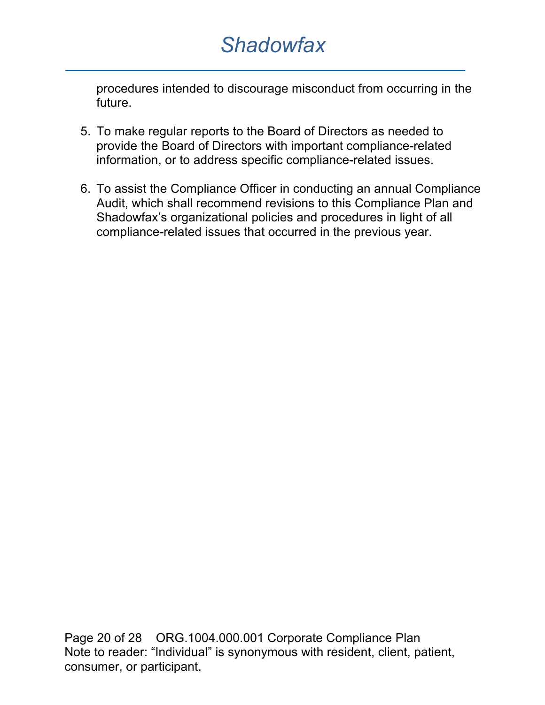procedures intended to discourage misconduct from occurring in the future.

- 5. To make regular reports to the Board of Directors as needed to provide the Board of Directors with important compliance-related information, or to address specific compliance-related issues.
- 6. To assist the Compliance Officer in conducting an annual Compliance Audit, which shall recommend revisions to this Compliance Plan and Shadowfax's organizational policies and procedures in light of all compliance-related issues that occurred in the previous year.

Page 20 of 28 ORG.1004.000.001 Corporate Compliance Plan Note to reader: "Individual" is synonymous with resident, client, patient, consumer, or participant.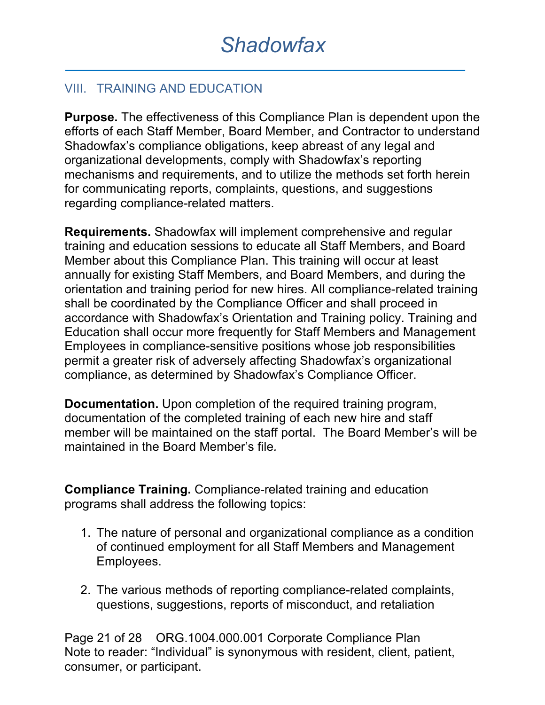### VIII. TRAINING AND EDUCATION

**Purpose.** The effectiveness of this Compliance Plan is dependent upon the efforts of each Staff Member, Board Member, and Contractor to understand Shadowfax's compliance obligations, keep abreast of any legal and organizational developments, comply with Shadowfax's reporting mechanisms and requirements, and to utilize the methods set forth herein for communicating reports, complaints, questions, and suggestions regarding compliance-related matters.

**Requirements.** Shadowfax will implement comprehensive and regular training and education sessions to educate all Staff Members, and Board Member about this Compliance Plan. This training will occur at least annually for existing Staff Members, and Board Members, and during the orientation and training period for new hires. All compliance-related training shall be coordinated by the Compliance Officer and shall proceed in accordance with Shadowfax's Orientation and Training policy. Training and Education shall occur more frequently for Staff Members and Management Employees in compliance-sensitive positions whose job responsibilities permit a greater risk of adversely affecting Shadowfax's organizational compliance, as determined by Shadowfax's Compliance Officer.

**Documentation.** Upon completion of the required training program, documentation of the completed training of each new hire and staff member will be maintained on the staff portal. The Board Member's will be maintained in the Board Member's file*.*

**Compliance Training.** Compliance-related training and education programs shall address the following topics:

- 1. The nature of personal and organizational compliance as a condition of continued employment for all Staff Members and Management Employees.
- 2. The various methods of reporting compliance-related complaints, questions, suggestions, reports of misconduct, and retaliation

Page 21 of 28 ORG.1004.000.001 Corporate Compliance Plan Note to reader: "Individual" is synonymous with resident, client, patient, consumer, or participant.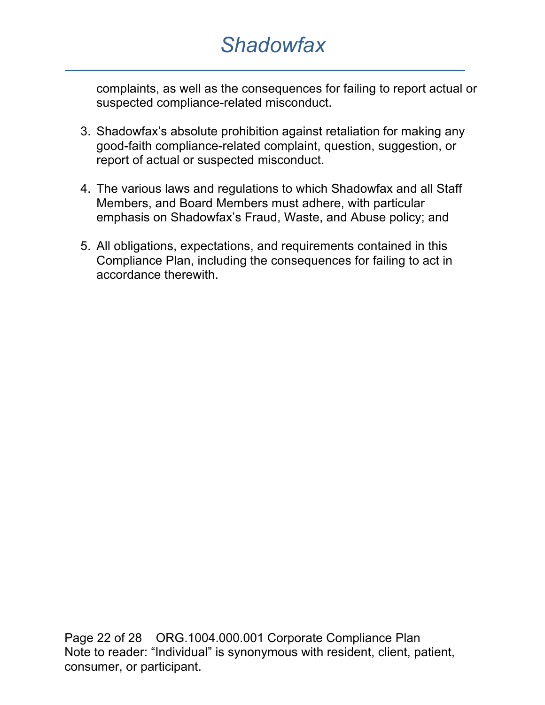complaints, as well as the consequences for failing to report actual or suspected compliance-related misconduct.

- 3. Shadowfax's absolute prohibition against retaliation for making any good-faith compliance-related complaint, question, suggestion, or report of actual or suspected misconduct.
- 4. The various laws and regulations to which Shadowfax and all Staff Members, and Board Members must adhere, with particular emphasis on Shadowfax's Fraud, Waste, and Abuse policy; and
- 5. All obligations, expectations, and requirements contained in this Compliance Plan, including the consequences for failing to act in accordance therewith.

Page 22 of 28 ORG.1004.000.001 Corporate Compliance Plan Note to reader: "Individual" is synonymous with resident, client, patient, consumer, or participant.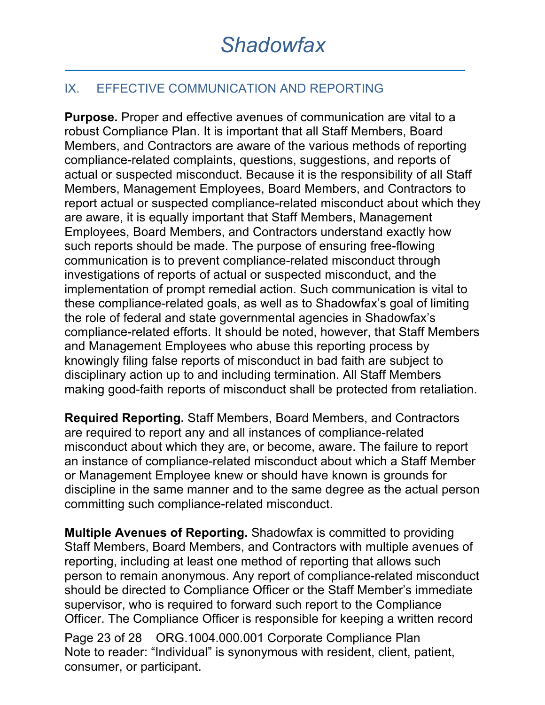### IX. EFFECTIVE COMMUNICATION AND REPORTING

**Purpose.** Proper and effective avenues of communication are vital to a robust Compliance Plan. It is important that all Staff Members, Board Members, and Contractors are aware of the various methods of reporting compliance-related complaints, questions, suggestions, and reports of actual or suspected misconduct. Because it is the responsibility of all Staff Members, Management Employees, Board Members, and Contractors to report actual or suspected compliance-related misconduct about which they are aware, it is equally important that Staff Members, Management Employees, Board Members, and Contractors understand exactly how such reports should be made. The purpose of ensuring free-flowing communication is to prevent compliance-related misconduct through investigations of reports of actual or suspected misconduct, and the implementation of prompt remedial action. Such communication is vital to these compliance-related goals, as well as to Shadowfax's goal of limiting the role of federal and state governmental agencies in Shadowfax's compliance-related efforts. It should be noted, however, that Staff Members and Management Employees who abuse this reporting process by knowingly filing false reports of misconduct in bad faith are subject to disciplinary action up to and including termination. All Staff Members making good-faith reports of misconduct shall be protected from retaliation.

**Required Reporting.** Staff Members, Board Members, and Contractors are required to report any and all instances of compliance-related misconduct about which they are, or become, aware. The failure to report an instance of compliance-related misconduct about which a Staff Member or Management Employee knew or should have known is grounds for discipline in the same manner and to the same degree as the actual person committing such compliance-related misconduct.

**Multiple Avenues of Reporting.** Shadowfax is committed to providing Staff Members, Board Members, and Contractors with multiple avenues of reporting, including at least one method of reporting that allows such person to remain anonymous. Any report of compliance-related misconduct should be directed to Compliance Officer or the Staff Member's immediate supervisor, who is required to forward such report to the Compliance Officer. The Compliance Officer is responsible for keeping a written record

Page 23 of 28 ORG.1004.000.001 Corporate Compliance Plan Note to reader: "Individual" is synonymous with resident, client, patient, consumer, or participant.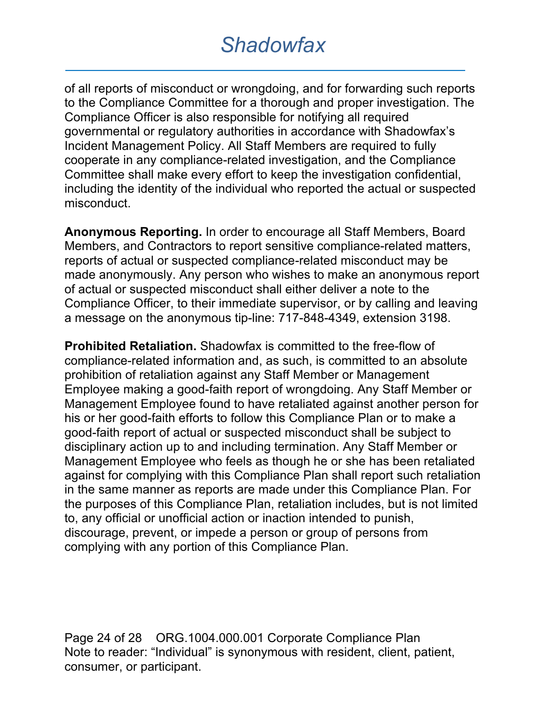of all reports of misconduct or wrongdoing, and for forwarding such reports to the Compliance Committee for a thorough and proper investigation. The Compliance Officer is also responsible for notifying all required governmental or regulatory authorities in accordance with Shadowfax's Incident Management Policy. All Staff Members are required to fully cooperate in any compliance-related investigation, and the Compliance Committee shall make every effort to keep the investigation confidential, including the identity of the individual who reported the actual or suspected misconduct.

**Anonymous Reporting.** In order to encourage all Staff Members, Board Members, and Contractors to report sensitive compliance-related matters, reports of actual or suspected compliance-related misconduct may be made anonymously. Any person who wishes to make an anonymous report of actual or suspected misconduct shall either deliver a note to the Compliance Officer, to their immediate supervisor, or by calling and leaving a message on the anonymous tip-line: 717-848-4349, extension 3198.

**Prohibited Retaliation.** Shadowfax is committed to the free-flow of compliance-related information and, as such, is committed to an absolute prohibition of retaliation against any Staff Member or Management Employee making a good-faith report of wrongdoing. Any Staff Member or Management Employee found to have retaliated against another person for his or her good-faith efforts to follow this Compliance Plan or to make a good-faith report of actual or suspected misconduct shall be subject to disciplinary action up to and including termination. Any Staff Member or Management Employee who feels as though he or she has been retaliated against for complying with this Compliance Plan shall report such retaliation in the same manner as reports are made under this Compliance Plan. For the purposes of this Compliance Plan, retaliation includes, but is not limited to, any official or unofficial action or inaction intended to punish, discourage, prevent, or impede a person or group of persons from complying with any portion of this Compliance Plan.

Page 24 of 28 ORG.1004.000.001 Corporate Compliance Plan Note to reader: "Individual" is synonymous with resident, client, patient, consumer, or participant.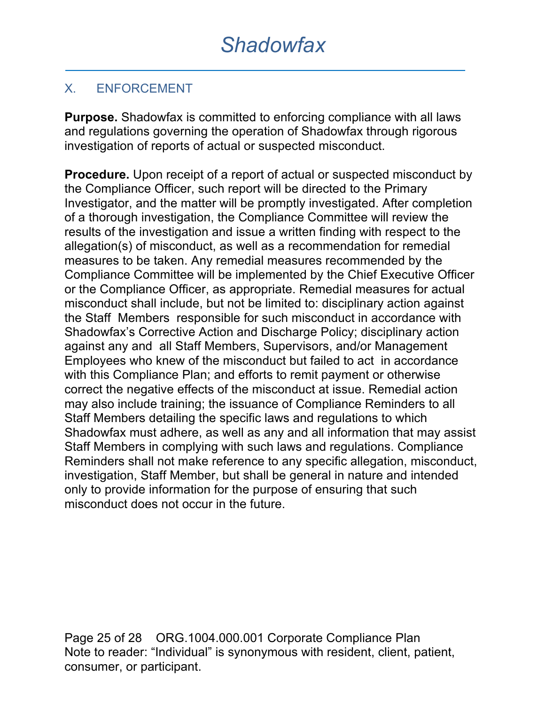### X. ENFORCEMENT

**Purpose.** Shadowfax is committed to enforcing compliance with all laws and regulations governing the operation of Shadowfax through rigorous investigation of reports of actual or suspected misconduct.

**Procedure.** Upon receipt of a report of actual or suspected misconduct by the Compliance Officer, such report will be directed to the Primary Investigator, and the matter will be promptly investigated. After completion of a thorough investigation, the Compliance Committee will review the results of the investigation and issue a written finding with respect to the allegation(s) of misconduct, as well as a recommendation for remedial measures to be taken. Any remedial measures recommended by the Compliance Committee will be implemented by the Chief Executive Officer or the Compliance Officer, as appropriate. Remedial measures for actual misconduct shall include, but not be limited to: disciplinary action against the Staff Members responsible for such misconduct in accordance with Shadowfax's Corrective Action and Discharge Policy; disciplinary action against any and all Staff Members, Supervisors, and/or Management Employees who knew of the misconduct but failed to act in accordance with this Compliance Plan; and efforts to remit payment or otherwise correct the negative effects of the misconduct at issue. Remedial action may also include training; the issuance of Compliance Reminders to all Staff Members detailing the specific laws and regulations to which Shadowfax must adhere, as well as any and all information that may assist Staff Members in complying with such laws and regulations. Compliance Reminders shall not make reference to any specific allegation, misconduct, investigation, Staff Member, but shall be general in nature and intended only to provide information for the purpose of ensuring that such misconduct does not occur in the future.

Page 25 of 28 ORG.1004.000.001 Corporate Compliance Plan Note to reader: "Individual" is synonymous with resident, client, patient, consumer, or participant.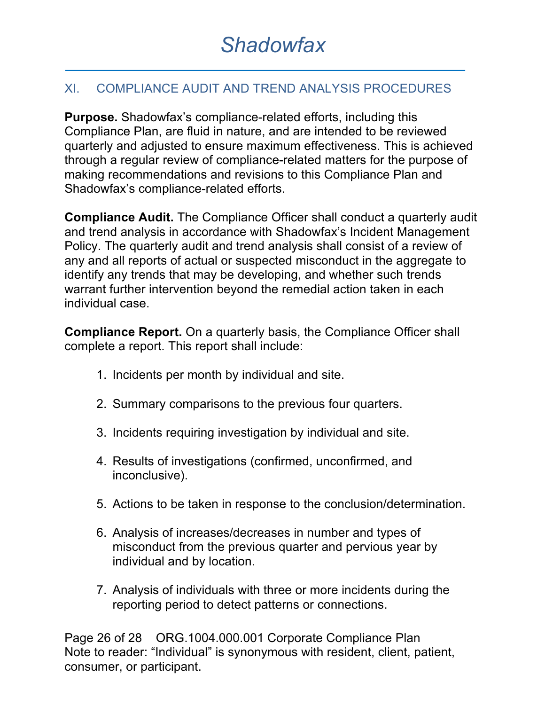### XI. COMPLIANCE AUDIT AND TREND ANALYSIS PROCEDURES

**Purpose.** Shadowfax's compliance-related efforts, including this Compliance Plan, are fluid in nature, and are intended to be reviewed quarterly and adjusted to ensure maximum effectiveness. This is achieved through a regular review of compliance-related matters for the purpose of making recommendations and revisions to this Compliance Plan and Shadowfax's compliance-related efforts.

**Compliance Audit.** The Compliance Officer shall conduct a quarterly audit and trend analysis in accordance with Shadowfax's Incident Management Policy. The quarterly audit and trend analysis shall consist of a review of any and all reports of actual or suspected misconduct in the aggregate to identify any trends that may be developing, and whether such trends warrant further intervention beyond the remedial action taken in each individual case.

**Compliance Report.** On a quarterly basis, the Compliance Officer shall complete a report. This report shall include:

- 1. Incidents per month by individual and site.
- 2. Summary comparisons to the previous four quarters.
- 3. Incidents requiring investigation by individual and site.
- 4. Results of investigations (confirmed, unconfirmed, and inconclusive).
- 5. Actions to be taken in response to the conclusion/determination.
- 6. Analysis of increases/decreases in number and types of misconduct from the previous quarter and pervious year by individual and by location.
- 7. Analysis of individuals with three or more incidents during the reporting period to detect patterns or connections.

Page 26 of 28 ORG.1004.000.001 Corporate Compliance Plan Note to reader: "Individual" is synonymous with resident, client, patient, consumer, or participant.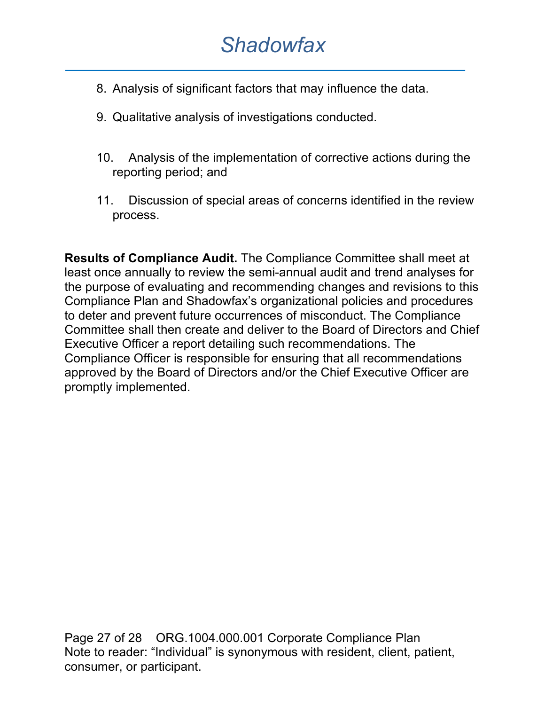- 8. Analysis of significant factors that may influence the data.
- 9. Qualitative analysis of investigations conducted.
- 10. Analysis of the implementation of corrective actions during the reporting period; and
- 11. Discussion of special areas of concerns identified in the review process.

**Results of Compliance Audit.** The Compliance Committee shall meet at least once annually to review the semi-annual audit and trend analyses for the purpose of evaluating and recommending changes and revisions to this Compliance Plan and Shadowfax's organizational policies and procedures to deter and prevent future occurrences of misconduct. The Compliance Committee shall then create and deliver to the Board of Directors and Chief Executive Officer a report detailing such recommendations. The Compliance Officer is responsible for ensuring that all recommendations approved by the Board of Directors and/or the Chief Executive Officer are promptly implemented.

Page 27 of 28 ORG.1004.000.001 Corporate Compliance Plan Note to reader: "Individual" is synonymous with resident, client, patient, consumer, or participant.